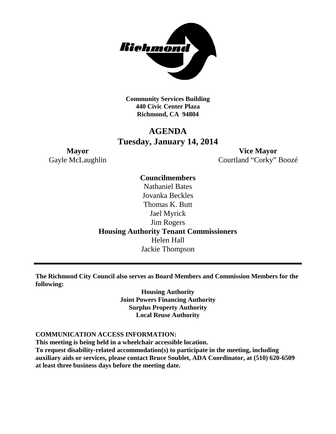

**Community Services Building 440 Civic Center Plaza Richmond, CA 94804**

# **AGENDA Tuesday, January 14, 2014**

**Mayor Vice Mayor** Gayle McLaughlin Courtland "Corky" Boozé

> **Councilmembers** Nathaniel Bates Jovanka Beckles Thomas K. Butt Jael Myrick Jim Rogers **Housing Authority Tenant Commissioners** Helen Hall Jackie Thompson

**The Richmond City Council also serves as Board Members and Commission Members for the following:**

> **Housing Authority Joint Powers Financing Authority Surplus Property Authority Local Reuse Authority**

#### **COMMUNICATION ACCESS INFORMATION:**

**This meeting is being held in a wheelchair accessible location. To request disability-related accommodation(s) to participate in the meeting, including auxiliary aids or services, please contact Bruce Soublet, ADA Coordinator, at (510) 620-6509 at least three business days before the meeting date.**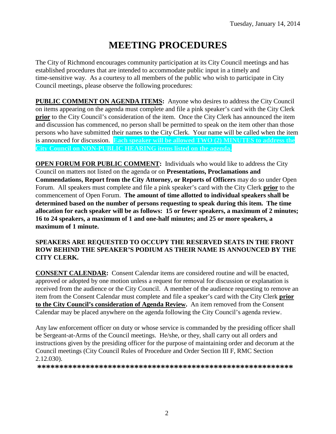# **MEETING PROCEDURES**

The City of Richmond encourages community participation at its City Council meetings and has established procedures that are intended to accommodate public input in a timely and time-sensitive way. As a courtesy to all members of the public who wish to participate in City Council meetings, please observe the following procedures:

**PUBLIC COMMENT ON AGENDA ITEMS:** Anyone who desires to address the City Council on items appearing on the agenda must complete and file a pink speaker's card with the City Clerk **prior** to the City Council's consideration of the item. Once the City Clerk has announced the item and discussion has commenced, no person shall be permitted to speak on the item other than those persons who have submitted their names to the City Clerk. Your name will be called when the item is announced for discussion. **Each speaker will be allowed TWO (2) MINUTES to address the City Council on NON-PUBLIC HEARING items listed on the agenda.**

**OPEN FORUM FOR PUBLIC COMMENT:** Individuals who would like to address the City Council on matters not listed on the agenda or on **Presentations, Proclamations and Commendations, Report from the City Attorney, or Reports of Officers** may do so under Open Forum. All speakers must complete and file a pink speaker's card with the City Clerk **prior** to the commencement of Open Forum. **The amount of time allotted to individual speakers shall be determined based on the number of persons requesting to speak during this item. The time allocation for each speaker will be as follows: 15 or fewer speakers, a maximum of 2 minutes; 16 to 24 speakers, a maximum of 1 and one-half minutes; and 25 or more speakers, a maximum of 1 minute.**

### **SPEAKERS ARE REQUESTED TO OCCUPY THE RESERVED SEATS IN THE FRONT ROW BEHIND THE SPEAKER'S PODIUM AS THEIR NAME IS ANNOUNCED BY THE CITY CLERK.**

**CONSENT CALENDAR:** Consent Calendar items are considered routine and will be enacted, approved or adopted by one motion unless a request for removal for discussion or explanation is received from the audience or the City Council. A member of the audience requesting to remove an item from the Consent Calendar must complete and file a speaker's card with the City Clerk **prior to the City Council's consideration of Agenda Review.** An item removed from the Consent Calendar may be placed anywhere on the agenda following the City Council's agenda review.

Any law enforcement officer on duty or whose service is commanded by the presiding officer shall be Sergeant-at-Arms of the Council meetings. He/she, or they, shall carry out all orders and instructions given by the presiding officer for the purpose of maintaining order and decorum at the Council meetings (City Council Rules of Procedure and Order Section III F, RMC Section 2.12.030).

**\*\*\*\*\*\*\*\*\*\*\*\*\*\*\*\*\*\*\*\*\*\*\*\*\*\*\*\*\*\*\*\*\*\*\*\*\*\*\*\*\*\*\*\*\*\*\*\*\*\*\*\*\*\*\*\*\*\***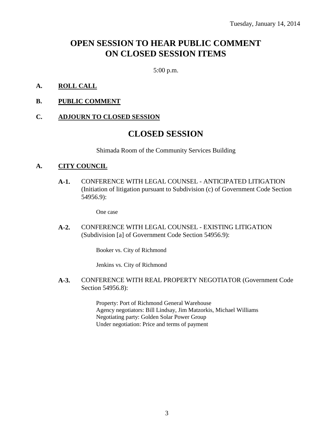# **OPEN SESSION TO HEAR PUBLIC COMMENT ON CLOSED SESSION ITEMS**

5:00 p.m.

- **A. ROLL CALL**
- **B. PUBLIC COMMENT**

### **C. ADJOURN TO CLOSED SESSION**

## **CLOSED SESSION**

Shimada Room of the Community Services Building

### **A. CITY COUNCIL**

**A-1.** CONFERENCE WITH LEGAL COUNSEL - ANTICIPATED LITIGATION (Initiation of litigation pursuant to Subdivision (c) of Government Code Section 54956.9):

One case

**A-2.** CONFERENCE WITH LEGAL COUNSEL - EXISTING LITIGATION (Subdivision [a] of Government Code Section 54956.9):

Booker vs. City of Richmond

Jenkins vs. City of Richmond

**A-3.** CONFERENCE WITH REAL PROPERTY NEGOTIATOR (Government Code Section 54956.8):

> Property: Port of Richmond General Warehouse Agency negotiators: Bill Lindsay, Jim Matzorkis, Michael Williams Negotiating party: Golden Solar Power Group Under negotiation: Price and terms of payment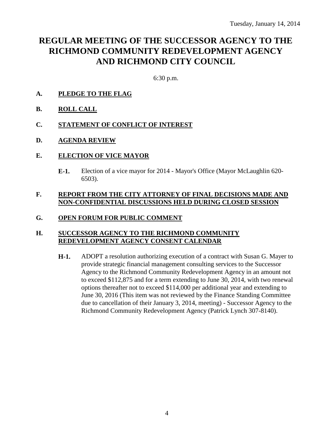# **REGULAR MEETING OF THE SUCCESSOR AGENCY TO THE RICHMOND COMMUNITY REDEVELOPMENT AGENCY AND RICHMOND CITY COUNCIL**

6:30 p.m.

- **A. PLEDGE TO THE FLAG**
- **B. ROLL CALL**
- **C. STATEMENT OF CONFLICT OF INTEREST**
- **D. AGENDA REVIEW**
- **E. ELECTION OF VICE MAYOR**
	- **E-1.** Election of a vice mayor for 2014 Mayor's Office (Mayor McLaughlin 620- 6503).

### **F. REPORT FROM THE CITY ATTORNEY OF FINAL DECISIONS MADE AND NON-CONFIDENTIAL DISCUSSIONS HELD DURING CLOSED SESSION**

### **G. OPEN FORUM FOR PUBLIC COMMENT**

### **H. SUCCESSOR AGENCY TO THE RICHMOND COMMUNITY REDEVELOPMENT AGENCY CONSENT CALENDAR**

**H-1.** ADOPT a resolution authorizing execution of a contract with Susan G. Mayer to provide strategic financial management consulting services to the Successor Agency to the Richmond Community Redevelopment Agency in an amount not to exceed \$112,875 and for a term extending to June 30, 2014, with two renewal options thereafter not to exceed \$114,000 per additional year and extending to June 30, 2016 (This item was not reviewed by the Finance Standing Committee due to cancellation of their January 3, 2014, meeting) - Successor Agency to the Richmond Community Redevelopment Agency (Patrick Lynch 307-8140).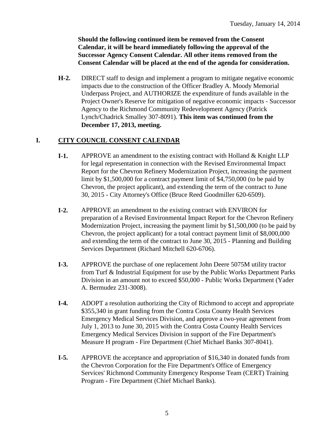**Should the following continued item be removed from the Consent Calendar, it will be heard immediately following the approval of the Successor Agency Consent Calendar. All other items removed from the Consent Calendar will be placed at the end of the agenda for consideration.**

**H-2.** DIRECT staff to design and implement a program to mitigate negative economic impacts due to the construction of the Officer Bradley A. Moody Memorial Underpass Project, and AUTHORIZE the expenditure of funds available in the Project Owner's Reserve for mitigation of negative economic impacts - Successor Agency to the Richmond Community Redevelopment Agency (Patrick Lynch/Chadrick Smalley 307-8091). **This item was continued from the December 17, 2013, meeting.**

### **I. CITY COUNCIL CONSENT CALENDAR**

- **I-1.** APPROVE an amendment to the existing contract with Holland & Knight LLP for legal representation in connection with the Revised Environmental Impact Report for the Chevron Refinery Modernization Project, increasing the payment limit by \$1,500,000 for a contract payment limit of \$4,750,000 (to be paid by Chevron, the project applicant), and extending the term of the contract to June 30, 2015 - City Attorney's Office (Bruce Reed Goodmiller 620-6509).
- **I-2.** APPROVE an amendment to the existing contract with ENVIRON for preparation of a Revised Environmental Impact Report for the Chevron Refinery Modernization Project, increasing the payment limit by \$1,500,000 (to be paid by Chevron, the project applicant) for a total contract payment limit of \$8,000,000 and extending the term of the contract to June 30, 2015 - Planning and Building Services Department (Richard Mitchell 620-6706).
- **I-3.** APPROVE the purchase of one replacement John Deere 5075M utility tractor from Turf & Industrial Equipment for use by the Public Works Department Parks Division in an amount not to exceed \$50,000 - Public Works Department (Yader A. Bermudez 231-3008).
- **I-4.** ADOPT a resolution authorizing the City of Richmond to accept and appropriate \$355,340 in grant funding from the Contra Costa County Health Services Emergency Medical Services Division, and approve a two-year agreement from July 1, 2013 to June 30, 2015 with the Contra Costa County Health Services Emergency Medical Services Division in support of the Fire Department's Measure H program - Fire Department (Chief Michael Banks 307-8041).
- **I-5.** APPROVE the acceptance and appropriation of \$16,340 in donated funds from the Chevron Corporation for the Fire Department's Office of Emergency Services' Richmond Community Emergency Response Team (CERT) Training Program - Fire Department (Chief Michael Banks).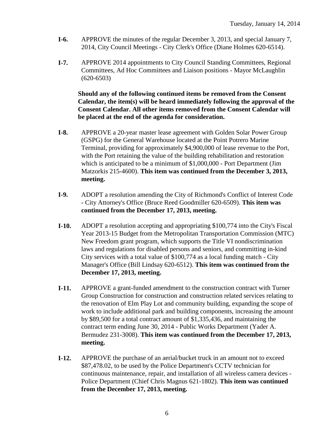- **I-6.** APPROVE the minutes of the regular December 3, 2013, and special January 7, 2014, City Council Meetings - City Clerk's Office (Diane Holmes 620-6514).
- **I-7.** APPROVE 2014 appointments to City Council Standing Committees, Regional Committees, Ad Hoc Committees and Liaison positions - Mayor McLaughlin  $(620-6503)$

**Should any of the following continued items be removed from the Consent Calendar, the item(s) will be heard immediately following the approval of the Consent Calendar. All other items removed from the Consent Calendar will be placed at the end of the agenda for consideration.**

- **I-8.** APPROVE a 20-year master lease agreement with Golden Solar Power Group (GSPG) for the General Warehouse located at the Point Potrero Marine Terminal, providing for approximately \$4,900,000 of lease revenue to the Port, with the Port retaining the value of the building rehabilitation and restoration which is anticipated to be a minimum of \$1,000,000 - Port Department (Jim Matzorkis 215-4600). **This item was continued from the December 3, 2013, meeting.**
- **I-9.** ADOPT a resolution amending the City of Richmond's Conflict of Interest Code - City Attorney's Office (Bruce Reed Goodmiller 620-6509). **This item was continued from the December 17, 2013, meeting.**
- **I-10.** ADOPT a resolution accepting and appropriating \$100,774 into the City's Fiscal Year 2013-15 Budget from the Metropolitan Transportation Commission (MTC) New Freedom grant program, which supports the Title VI nondiscrimination laws and regulations for disabled persons and seniors, and committing in-kind City services with a total value of \$100,774 as a local funding match - City Manager's Office (Bill Lindsay 620-6512). **This item was continued from the December 17, 2013, meeting.**
- **I-11.** APPROVE a grant-funded amendment to the construction contract with Turner Group Construction for construction and construction related services relating to the renovation of Elm Play Lot and community building, expanding the scope of work to include additional park and building components, increasing the amount by \$89,500 for a total contract amount of \$1,335,436, and maintaining the contract term ending June 30, 2014 - Public Works Department (Yader A. Bermudez 231-3008). **This item was continued from the December 17, 2013, meeting.**
- **I-12.** APPROVE the purchase of an aerial/bucket truck in an amount not to exceed \$87,478.02, to be used by the Police Department's CCTV technician for continuous maintenance, repair, and installation of all wireless camera devices - Police Department (Chief Chris Magnus 621-1802). **This item was continued from the December 17, 2013, meeting.**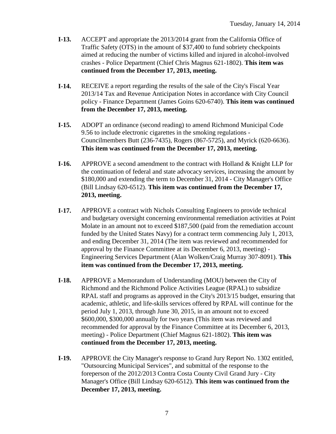- **I-13.** ACCEPT and appropriate the 2013/2014 grant from the California Office of Traffic Safety (OTS) in the amount of \$37,400 to fund sobriety checkpoints aimed at reducing the number of victims killed and injured in alcohol-involved crashes - Police Department (Chief Chris Magnus 621-1802). **This item was continued from the December 17, 2013, meeting.**
- **I-14.** RECEIVE a report regarding the results of the sale of the City's Fiscal Year 2013/14 Tax and Revenue Anticipation Notes in accordance with City Council policy - Finance Department (James Goins 620-6740). **This item was continued from the December 17, 2013, meeting.**
- **I-15.** ADOPT an ordinance (second reading) to amend Richmond Municipal Code 9.56 to include electronic cigarettes in the smoking regulations - Councilmembers Butt (236-7435), Rogers (867-5725), and Myrick (620-6636). **This item was continued from the December 17, 2013, meeting.**
- **I-16.** APPROVE a second amendment to the contract with Holland & Knight LLP for the continuation of federal and state advocacy services, increasing the amount by \$180,000 and extending the term to December 31, 2014 - City Manager's Office (Bill Lindsay 620-6512). **This item was continued from the December 17, 2013, meeting.**
- **I-17.** APPROVE a contract with Nichols Consulting Engineers to provide technical and budgetary oversight concerning environmental remediation activities at Point Molate in an amount not to exceed \$187,500 (paid from the remediation account funded by the United States Navy) for a contract term commencing July 1, 2013, and ending December 31, 2014 (The item was reviewed and recommended for approval by the Finance Committee at its December 6, 2013, meeting) - Engineering Services Department (Alan Wolken/Craig Murray 307-8091). **This item was continued from the December 17, 2013, meeting.**
- **I-18.** APPROVE a Memorandum of Understanding (MOU) between the City of Richmond and the Richmond Police Activities League (RPAL) to subsidize RPAL staff and programs as approved in the City's 2013/15 budget, ensuring that academic, athletic, and life-skills services offered by RPAL will continue for the period July 1, 2013, through June 30, 2015, in an amount not to exceed \$600,000, \$300,000 annually for two years (This item was reviewed and recommended for approval by the Finance Committee at its December 6, 2013, meeting) - Police Department (Chief Magnus 621-1802). **This item was continued from the December 17, 2013, meeting.**
- **I-19.** APPROVE the City Manager's response to Grand Jury Report No. 1302 entitled, "Outsourcing Municipal Services", and submittal of the response to the foreperson of the 2012/2013 Contra Costa County Civil Grand Jury - City Manager's Office (Bill Lindsay 620-6512). **This item was continued from the December 17, 2013, meeting.**